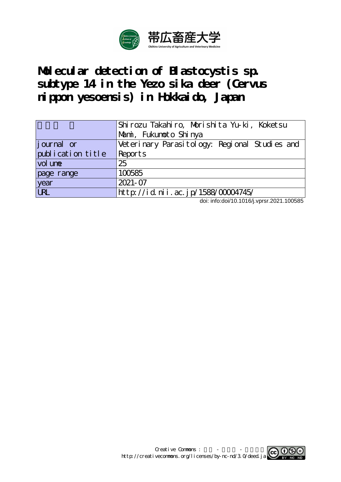

**Molecular detection of Blastocystis sp. subtype 14 in the Yezo sika deer (Cervus nippon yesoensis) in Hokkaido, Japan**

|                   | Shirozu Takahiro, Morishita Yu-ki, Koketsu    |  |  |  |  |  |  |  |  |  |
|-------------------|-----------------------------------------------|--|--|--|--|--|--|--|--|--|
|                   | Marni, Fukunoto Shi nya                       |  |  |  |  |  |  |  |  |  |
| journal or        | Veterinary Parasitology: Regional Studies and |  |  |  |  |  |  |  |  |  |
| publication title | Reports                                       |  |  |  |  |  |  |  |  |  |
| vol une           | 25                                            |  |  |  |  |  |  |  |  |  |
| page range        | 100585                                        |  |  |  |  |  |  |  |  |  |
| year              | $2021 - 07$                                   |  |  |  |  |  |  |  |  |  |
| <b>URL</b>        | http://id.nii.ac.jp/1588/00004745/            |  |  |  |  |  |  |  |  |  |

doi: info:doi/10.1016/j.vprsr.2021.100585